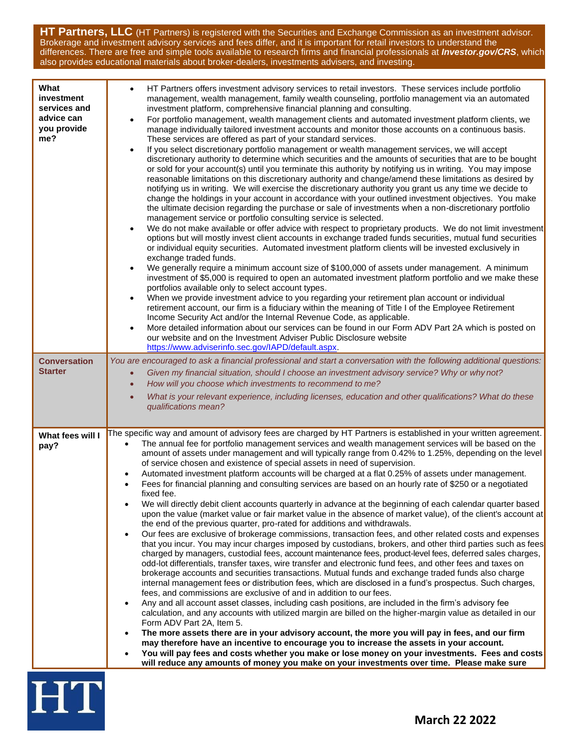**HT Partners, LLC** (HT Partners) is registered with the Securities and Exchange Commission as an investment advisor. Brokerage and investment advisory services and fees differ, and it is important for retail investors to understand the differences. There are free and simple tools available to research firms and financial professionals at *Investor.gov/CRS*, which also provides educational materials about broker-dealers, investments advisers, and investing.

| What<br>investment<br>services and<br>advice can<br>you provide<br>me? | HT Partners offers investment advisory services to retail investors. These services include portfolio<br>$\bullet$<br>management, wealth management, family wealth counseling, portfolio management via an automated<br>investment platform, comprehensive financial planning and consulting.<br>For portfolio management, wealth management clients and automated investment platform clients, we<br>$\bullet$<br>manage individually tailored investment accounts and monitor those accounts on a continuous basis.<br>These services are offered as part of your standard services.<br>If you select discretionary portfolio management or wealth management services, we will accept<br>$\bullet$<br>discretionary authority to determine which securities and the amounts of securities that are to be bought<br>or sold for your account(s) until you terminate this authority by notifying us in writing. You may impose<br>reasonable limitations on this discretionary authority and change/amend these limitations as desired by<br>notifying us in writing. We will exercise the discretionary authority you grant us any time we decide to<br>change the holdings in your account in accordance with your outlined investment objectives. You make<br>the ultimate decision regarding the purchase or sale of investments when a non-discretionary portfolio<br>management service or portfolio consulting service is selected.<br>We do not make available or offer advice with respect to proprietary products. We do not limit investment<br>$\bullet$<br>options but will mostly invest client accounts in exchange traded funds securities, mutual fund securities<br>or individual equity securities. Automated investment platform clients will be invested exclusively in<br>exchange traded funds.<br>We generally require a minimum account size of \$100,000 of assets under management. A minimum<br>$\bullet$<br>investment of \$5,000 is required to open an automated investment platform portfolio and we make these<br>portfolios available only to select account types.<br>When we provide investment advice to you regarding your retirement plan account or individual<br>$\bullet$<br>retirement account, our firm is a fiduciary within the meaning of Title I of the Employee Retirement<br>Income Security Act and/or the Internal Revenue Code, as applicable.<br>More detailed information about our services can be found in our Form ADV Part 2A which is posted on<br>$\bullet$<br>our website and on the Investment Adviser Public Disclosure website<br>https://www.adviserinfo.sec.gov/IAPD/default.aspx. |
|------------------------------------------------------------------------|--------------------------------------------------------------------------------------------------------------------------------------------------------------------------------------------------------------------------------------------------------------------------------------------------------------------------------------------------------------------------------------------------------------------------------------------------------------------------------------------------------------------------------------------------------------------------------------------------------------------------------------------------------------------------------------------------------------------------------------------------------------------------------------------------------------------------------------------------------------------------------------------------------------------------------------------------------------------------------------------------------------------------------------------------------------------------------------------------------------------------------------------------------------------------------------------------------------------------------------------------------------------------------------------------------------------------------------------------------------------------------------------------------------------------------------------------------------------------------------------------------------------------------------------------------------------------------------------------------------------------------------------------------------------------------------------------------------------------------------------------------------------------------------------------------------------------------------------------------------------------------------------------------------------------------------------------------------------------------------------------------------------------------------------------------------------------------------------------------------------------------------------------------------------------------------------------------------------------------------------------------------------------------------------------------------------------------------------------------------------------------------------------------------------------------------------------------------------------------------------------------------------------------------------------------------------------------------------------------------------------------------------------------|
| <b>Conversation</b><br><b>Starter</b>                                  | You are encouraged to ask a financial professional and start a conversation with the following additional questions:<br>Given my financial situation, should I choose an investment advisory service? Why or why not?<br>$\bullet$<br>How will you choose which investments to recommend to me?<br>$\bullet$<br>What is your relevant experience, including licenses, education and other qualifications? What do these<br>$\bullet$<br>qualifications mean?                                                                                                                                                                                                                                                                                                                                                                                                                                                                                                                                                                                                                                                                                                                                                                                                                                                                                                                                                                                                                                                                                                                                                                                                                                                                                                                                                                                                                                                                                                                                                                                                                                                                                                                                                                                                                                                                                                                                                                                                                                                                                                                                                                                           |
| What fees will I<br>pay?                                               | The specific way and amount of advisory fees are charged by HT Partners is established in your written agreement.<br>The annual fee for portfolio management services and wealth management services will be based on the<br>$\bullet$<br>amount of assets under management and will typically range from 0.42% to 1.25%, depending on the level<br>of service chosen and existence of special assets in need of supervision.<br>Automated investment platform accounts will be charged at a flat 0.25% of assets under management.<br>$\bullet$<br>Fees for financial planning and consulting services are based on an hourly rate of \$250 or a negotiated<br>fixed fee.<br>We will directly debit client accounts quarterly in advance at the beginning of each calendar quarter based<br>upon the value (market value or fair market value in the absence of market value), of the client's account at<br>the end of the previous quarter, pro-rated for additions and withdrawals.<br>Our fees are exclusive of brokerage commissions, transaction fees, and other related costs and expenses<br>$\bullet$<br>that you incur. You may incur charges imposed by custodians, brokers, and other third parties such as fees<br>charged by managers, custodial fees, account maintenance fees, product-level fees, deferred sales charges,<br>odd-lot differentials, transfer taxes, wire transfer and electronic fund fees, and other fees and taxes on<br>brokerage accounts and securities transactions. Mutual funds and exchange traded funds also charge<br>internal management fees or distribution fees, which are disclosed in a fund's prospectus. Such charges,<br>fees, and commissions are exclusive of and in addition to our fees.<br>Any and all account asset classes, including cash positions, are included in the firm's advisory fee<br>$\bullet$<br>calculation, and any accounts with utilized margin are billed on the higher-margin value as detailed in our<br>Form ADV Part 2A, Item 5.<br>The more assets there are in your advisory account, the more you will pay in fees, and our firm<br>$\bullet$<br>may therefore have an incentive to encourage you to increase the assets in your account.<br>You will pay fees and costs whether you make or lose money on your investments. Fees and costs<br>$\bullet$<br>will reduce any amounts of money you make on your investments over time. Please make sure                                                                                                                                                                                                            |